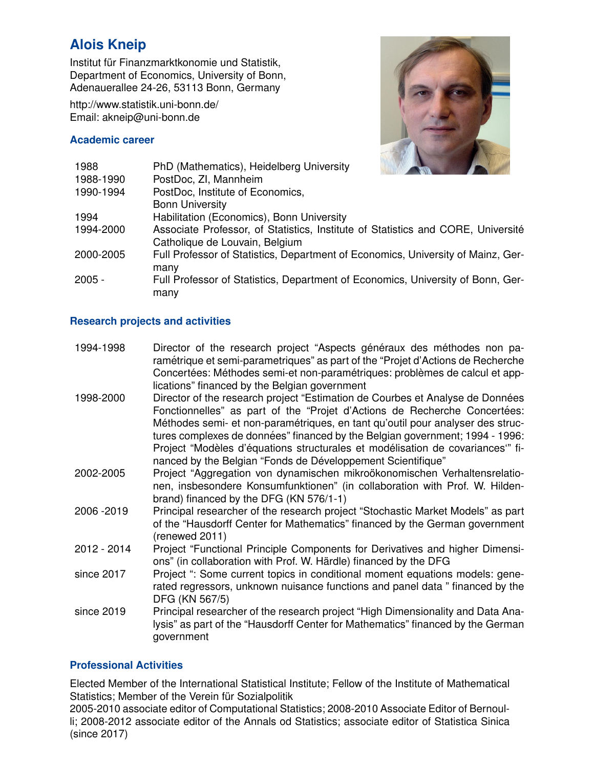# **Alois Kneip**

Institut für Finanzmarktkonomie und Statistik, Department of Economics, University of Bonn, Adenauerallee 24-26, 53113 Bonn, Germany

http://www.statistik.uni-bonn.de/ Email: akneip@uni-bonn.de

#### **Academic career**



| 1988      | PhD (Mathematics), Heidelberg University                                         |
|-----------|----------------------------------------------------------------------------------|
| 1988-1990 | PostDoc, ZI, Mannheim                                                            |
| 1990-1994 | PostDoc, Institute of Economics,                                                 |
|           | <b>Bonn University</b>                                                           |
| 1994      | Habilitation (Economics), Bonn University                                        |
| 1994-2000 | Associate Professor, of Statistics, Institute of Statistics and CORE, Université |
|           | Catholique de Louvain, Belgium                                                   |
| 2000-2005 | Full Professor of Statistics, Department of Economics, University of Mainz, Ger- |
|           | many                                                                             |
| 2005 -    | Full Professor of Statistics, Department of Economics, University of Bonn, Ger-  |
|           | many                                                                             |

### **Research projects and activities**

| 1994-1998 | Director of the research project "Aspects généraux des méthodes non pa-          |
|-----------|----------------------------------------------------------------------------------|
|           | ramétrique et semi-parametriques" as part of the "Projet d'Actions de Recherche" |
|           | Concertées: Méthodes semi-et non-paramétriques: problèmes de calcul et app-      |
|           | lications" financed by the Belgian government                                    |

- 1998-2000 Director of the research project "Estimation de Courbes et Analyse de Données Fonctionnelles" as part of the "Projet d'Actions de Recherche Concertées: Méthodes semi- et non-paramétriques, en tant qu'outil pour analyser des structures complexes de données" financed by the Belgian government; 1994 - 1996: Project "Modèles d'équations structurales et modélisation de covariances" financed by the Belgian "Fonds de Développement Scientifique"
- 2002-2005 Project "Aggregation von dynamischen mikrookonomischen Verhaltensrelatio- ¨ nen, insbesondere Konsumfunktionen" (in collaboration with Prof. W. Hildenbrand) financed by the DFG (KN 576/1-1)
- 2006 -2019 Principal researcher of the research project "Stochastic Market Models" as part of the "Hausdorff Center for Mathematics" financed by the German government (renewed 2011)
- 2012 2014 Project "Functional Principle Components for Derivatives and higher Dimensions" (in collaboration with Prof. W. Härdle) financed by the DFG
- since 2017 Project ": Some current topics in conditional moment equations models: generated regressors, unknown nuisance functions and panel data " financed by the DFG (KN 567/5)
- since 2019 Principal researcher of the research project "High Dimensionality and Data Analysis" as part of the "Hausdorff Center for Mathematics" financed by the German government

## **Professional Activities**

Elected Member of the International Statistical Institute; Fellow of the Institute of Mathematical Statistics; Member of the Verein für Sozialpolitik

2005-2010 associate editor of Computational Statistics; 2008-2010 Associate Editor of Bernoulli; 2008-2012 associate editor of the Annals od Statistics; associate editor of Statistica Sinica (since 2017)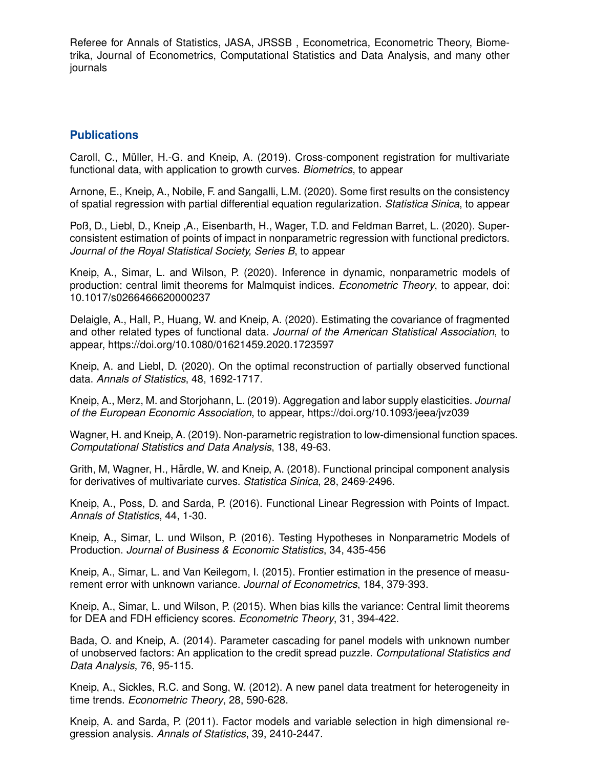Referee for Annals of Statistics, JASA, JRSSB , Econometrica, Econometric Theory, Biometrika, Journal of Econometrics, Computational Statistics and Data Analysis, and many other journals

## **Publications**

Caroll, C., Müller, H.-G. and Kneip, A. (2019). Cross-component registration for multivariate functional data, with application to growth curves. *Biometrics*, to appear

Arnone, E., Kneip, A., Nobile, F. and Sangalli, L.M. (2020). Some first results on the consistency of spatial regression with partial differential equation regularization. *Statistica Sinica*, to appear

Poß, D., Liebl, D., Kneip ,A., Eisenbarth, H., Wager, T.D. and Feldman Barret, L. (2020). Superconsistent estimation of points of impact in nonparametric regression with functional predictors. *Journal of the Royal Statistical Society, Series B*, to appear

Kneip, A., Simar, L. and Wilson, P. (2020). Inference in dynamic, nonparametric models of production: central limit theorems for Malmquist indices. *Econometric Theory*, to appear, doi: 10.1017/s0266466620000237

Delaigle, A., Hall, P., Huang, W. and Kneip, A. (2020). Estimating the covariance of fragmented and other related types of functional data. *Journal of the American Statistical Association*, to appear, https://doi.org/10.1080/01621459.2020.1723597

Kneip, A. and Liebl, D. (2020). On the optimal reconstruction of partially observed functional data. *Annals of Statistics*, 48, 1692-1717.

Kneip, A., Merz, M. and Storjohann, L. (2019). Aggregation and labor supply elasticities. *Journal of the European Economic Association*, to appear, https://doi.org/10.1093/jeea/jvz039

Wagner, H. and Kneip, A. (2019). Non-parametric registration to low-dimensional function spaces. *Computational Statistics and Data Analysis*, 138, 49-63.

Grith, M, Wagner, H., Härdle, W. and Kneip, A. (2018). Functional principal component analysis for derivatives of multivariate curves. *Statistica Sinica*, 28, 2469-2496.

Kneip, A., Poss, D. and Sarda, P. (2016). Functional Linear Regression with Points of Impact. *Annals of Statistics*, 44, 1-30.

Kneip, A., Simar, L. und Wilson, P. (2016). Testing Hypotheses in Nonparametric Models of Production. *Journal of Business & Economic Statistics*, 34, 435-456

Kneip, A., Simar, L. and Van Keilegom, I. (2015). Frontier estimation in the presence of measurement error with unknown variance. *Journal of Econometrics*, 184, 379-393.

Kneip, A., Simar, L. und Wilson, P. (2015). When bias kills the variance: Central limit theorems for DEA and FDH efficiency scores. *Econometric Theory*, 31, 394-422.

Bada, O. and Kneip, A. (2014). Parameter cascading for panel models with unknown number of unobserved factors: An application to the credit spread puzzle. *Computational Statistics and Data Analysis*, 76, 95-115.

Kneip, A., Sickles, R.C. and Song, W. (2012). A new panel data treatment for heterogeneity in time trends. *Econometric Theory*, 28, 590-628.

Kneip, A. and Sarda, P. (2011). Factor models and variable selection in high dimensional regression analysis. *Annals of Statistics*, 39, 2410-2447.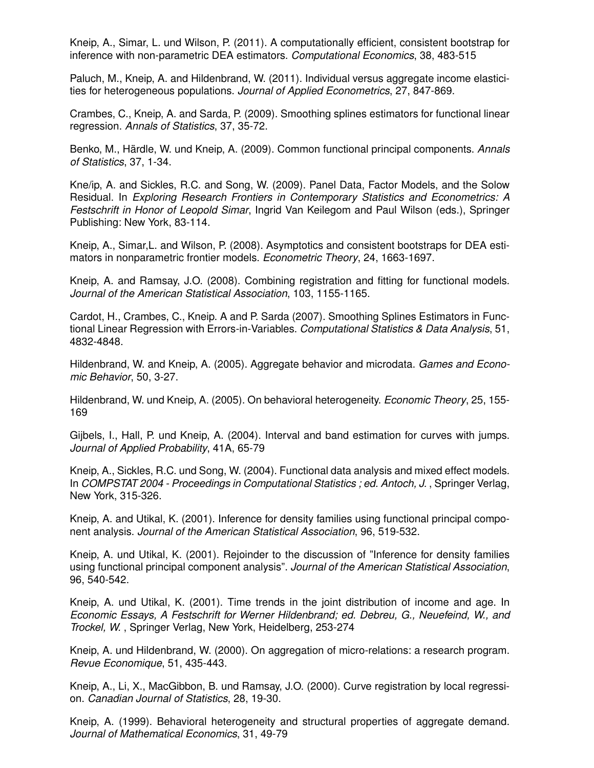Kneip, A., Simar, L. und Wilson, P. (2011). A computationally efficient, consistent bootstrap for inference with non-parametric DEA estimators. *Computational Economics*, 38, 483-515

Paluch, M., Kneip, A. and Hildenbrand, W. (2011). Individual versus aggregate income elasticities for heterogeneous populations. *Journal of Applied Econometrics*, 27, 847-869.

Crambes, C., Kneip, A. and Sarda, P. (2009). Smoothing splines estimators for functional linear regression. *Annals of Statistics*, 37, 35-72.

Benko, M., Härdle, W. und Kneip, A. (2009). Common functional principal components. Annals *of Statistics*, 37, 1-34.

Kne/ip, A. and Sickles, R.C. and Song, W. (2009). Panel Data, Factor Models, and the Solow Residual. In *Exploring Research Frontiers in Contemporary Statistics and Econometrics: A Festschrift in Honor of Leopold Simar*, Ingrid Van Keilegom and Paul Wilson (eds.), Springer Publishing: New York, 83-114.

Kneip, A., Simar,L. and Wilson, P. (2008). Asymptotics and consistent bootstraps for DEA estimators in nonparametric frontier models. *Econometric Theory*, 24, 1663-1697.

Kneip, A. and Ramsay, J.O. (2008). Combining registration and fitting for functional models. *Journal of the American Statistical Association*, 103, 1155-1165.

Cardot, H., Crambes, C., Kneip. A and P. Sarda (2007). Smoothing Splines Estimators in Functional Linear Regression with Errors-in-Variables. *Computational Statistics & Data Analysis*, 51, 4832-4848.

Hildenbrand, W. and Kneip, A. (2005). Aggregate behavior and microdata. *Games and Economic Behavior*, 50, 3-27.

Hildenbrand, W. und Kneip, A. (2005). On behavioral heterogeneity. *Economic Theory*, 25, 155- 169

Gijbels, I., Hall, P. und Kneip, A. (2004). Interval and band estimation for curves with jumps. *Journal of Applied Probability*, 41A, 65-79

Kneip, A., Sickles, R.C. und Song, W. (2004). Functional data analysis and mixed effect models. In *COMPSTAT 2004 - Proceedings in Computational Statistics ; ed. Antoch, J.* , Springer Verlag, New York, 315-326.

Kneip, A. and Utikal, K. (2001). Inference for density families using functional principal component analysis. *Journal of the American Statistical Association*, 96, 519-532.

Kneip, A. und Utikal, K. (2001). Rejoinder to the discussion of "Inference for density families using functional principal component analysis". *Journal of the American Statistical Association*, 96, 540-542.

Kneip, A. und Utikal, K. (2001). Time trends in the joint distribution of income and age. In *Economic Essays, A Festschrift for Werner Hildenbrand; ed. Debreu, G., Neuefeind, W., and Trockel, W.* , Springer Verlag, New York, Heidelberg, 253-274

Kneip, A. und Hildenbrand, W. (2000). On aggregation of micro-relations: a research program. *Revue Economique*, 51, 435-443.

Kneip, A., Li, X., MacGibbon, B. und Ramsay, J.O. (2000). Curve registration by local regression. *Canadian Journal of Statistics*, 28, 19-30.

Kneip, A. (1999). Behavioral heterogeneity and structural properties of aggregate demand. *Journal of Mathematical Economics*, 31, 49-79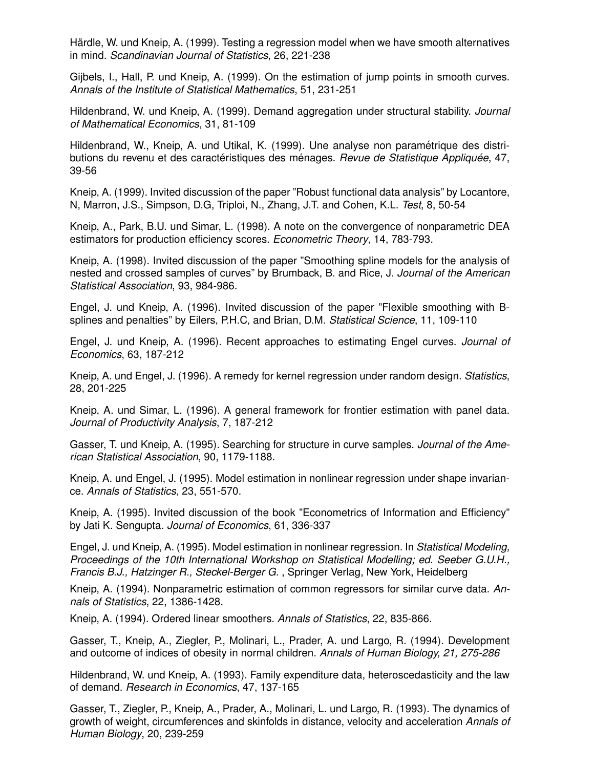Härdle, W. und Kneip, A. (1999). Testing a regression model when we have smooth alternatives in mind. *Scandinavian Journal of Statistics*, 26, 221-238

Gijbels, I., Hall, P. und Kneip, A. (1999). On the estimation of jump points in smooth curves. *Annals of the Institute of Statistical Mathematics*, 51, 231-251

Hildenbrand, W. und Kneip, A. (1999). Demand aggregation under structural stability. *Journal of Mathematical Economics*, 31, 81-109

Hildenbrand, W., Kneip, A. und Utikal, K. (1999). Une analyse non parametrique des distri- ´ butions du revenu et des caractéristiques des ménages. *Revue de Statistique Appliquée*, 47, 39-56

Kneip, A. (1999). Invited discussion of the paper "Robust functional data analysis" by Locantore, N, Marron, J.S., Simpson, D.G, Triploi, N., Zhang, J.T. and Cohen, K.L. *Test*, 8, 50-54

Kneip, A., Park, B.U. und Simar, L. (1998). A note on the convergence of nonparametric DEA estimators for production efficiency scores. *Econometric Theory*, 14, 783-793.

Kneip, A. (1998). Invited discussion of the paper "Smoothing spline models for the analysis of nested and crossed samples of curves" by Brumback, B. and Rice, J. *Journal of the American Statistical Association*, 93, 984-986.

Engel, J. und Kneip, A. (1996). Invited discussion of the paper "Flexible smoothing with Bsplines and penalties" by Eilers, P.H.C, and Brian, D.M. *Statistical Science*, 11, 109-110

Engel, J. und Kneip, A. (1996). Recent approaches to estimating Engel curves. *Journal of Economics*, 63, 187-212

Kneip, A. und Engel, J. (1996). A remedy for kernel regression under random design. *Statistics*, 28, 201-225

Kneip, A. und Simar, L. (1996). A general framework for frontier estimation with panel data. *Journal of Productivity Analysis*, 7, 187-212

Gasser, T. und Kneip, A. (1995). Searching for structure in curve samples. *Journal of the American Statistical Association*, 90, 1179-1188.

Kneip, A. und Engel, J. (1995). Model estimation in nonlinear regression under shape invariance. *Annals of Statistics*, 23, 551-570.

Kneip, A. (1995). Invited discussion of the book "Econometrics of Information and Efficiency" by Jati K. Sengupta. *Journal of Economics*, 61, 336-337

Engel, J. und Kneip, A. (1995). Model estimation in nonlinear regression. In *Statistical Modeling, Proceedings of the 10th International Workshop on Statistical Modelling; ed. Seeber G.U.H., Francis B.J., Hatzinger R., Steckel-Berger G.* , Springer Verlag, New York, Heidelberg

Kneip, A. (1994). Nonparametric estimation of common regressors for similar curve data. *Annals of Statistics*, 22, 1386-1428.

Kneip, A. (1994). Ordered linear smoothers. *Annals of Statistics*, 22, 835-866.

Gasser, T., Kneip, A., Ziegler, P., Molinari, L., Prader, A. und Largo, R. (1994). Development and outcome of indices of obesity in normal children. *Annals of Human Biology, 21, 275-286*

Hildenbrand, W. und Kneip, A. (1993). Family expenditure data, heteroscedasticity and the law of demand. *Research in Economics*, 47, 137-165

Gasser, T., Ziegler, P., Kneip, A., Prader, A., Molinari, L. und Largo, R. (1993). The dynamics of growth of weight, circumferences and skinfolds in distance, velocity and acceleration *Annals of Human Biology*, 20, 239-259